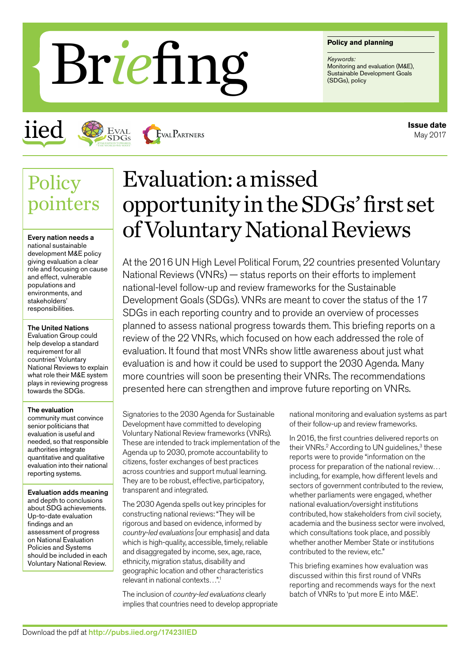#### **Policy and planning**

*Keywords:* Monitoring and evaluation (M&E),<br>Sustainable Development Goals **Brief Ing Sustainable De** 

iied



**EVAL PARTNERS** 

## **Policy** pointers

Every nation needs a national sustainable development M&E policy giving evaluation a clear role and focusing on cause and effect, vulnerable populations and environments, and stakeholders' responsibilities.

#### The United Nations

Evaluation Group could help develop a standard requirement for all countries' Voluntary National Reviews to explain what role their M&E system plays in reviewing progress towards the SDGs.

#### The evaluation

community must convince senior politicians that evaluation is useful and needed, so that responsible authorities integrate quantitative and qualitative evaluation into their national reporting systems.

Evaluation adds meaning and depth to conclusions about SDG achievements. Up-to-date evaluation findings and an assessment of progress on National Evaluation Policies and Systems should be included in each Voluntary National Review.

# Evaluation: a missed opportunity in the SDGs' first set of Voluntary National Reviews

At the 2016 UN High Level Political Forum, 22 countries presented Voluntary National Reviews (VNRs) — status reports on their efforts to implement national-level follow-up and review frameworks for the Sustainable Development Goals (SDGs). VNRs are meant to cover the status of the 17 SDGs in each reporting country and to provide an overview of processes planned to assess national progress towards them. This briefing reports on a review of the 22 VNRs, which focused on how each addressed the role of evaluation. It found that most VNRs show little awareness about just what evaluation is and how it could be used to support the 2030 Agenda. Many more countries will soon be presenting their VNRs. The recommendations presented here can strengthen and improve future reporting on VNRs.

Signatories to the 2030 Agenda for Sustainable Development have committed to developing Voluntary National Review frameworks (VNRs). These are intended to track implementation of the Agenda up to 2030, promote accountability to citizens, foster exchanges of best practices across countries and support mutual learning. They are to be robust, effective, participatory, transparent and integrated.

The 2030 Agenda spells out key principles for constructing national reviews: "They will be rigorous and based on evidence, informed by *country-led evaluations* [our emphasis] and data which is high-quality, accessible, timely, reliable and disaggregated by income, sex, age, race, ethnicity, migration status, disability and geographic location and other characteristics relevant in national contexts…".1

The inclusion of *country-led evaluations* clearly implies that countries need to develop appropriate national monitoring and evaluation systems as part of their follow-up and review frameworks.

In 2016, the first countries delivered reports on their VNRs.<sup>2</sup> According to UN quidelines.<sup>3</sup> these reports were to provide "information on the process for preparation of the national review… including, for example, how different levels and sectors of government contributed to the review. whether parliaments were engaged, whether national evaluation/oversight institutions contributed, how stakeholders from civil society, academia and the business sector were involved, which consultations took place, and possibly whether another Member State or institutions contributed to the review, etc."

This briefing examines how evaluation was discussed within this first round of VNRs reporting and recommends ways for the next batch of VNRs to 'put more E into M&E'.

**Issue date** May 2017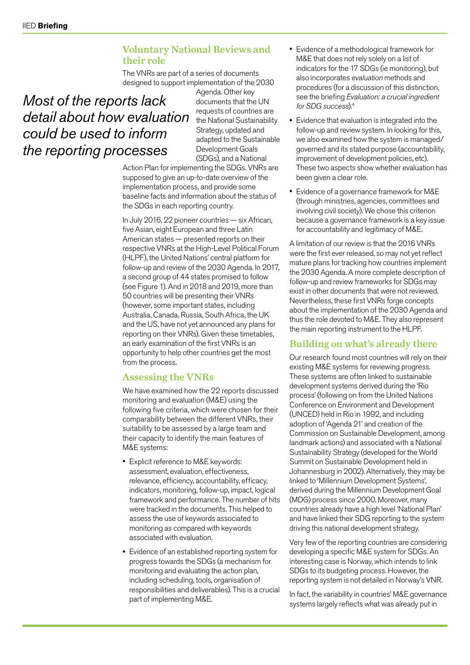## Voluntary National Reviews and their role

The VNRs are part of a series of documents designed to support implementation of the 2030

## *Most of the reports lack detail about how evaluation could be used to inform the reporting processes*

Agenda. Other key documents that the UN requests of countries are the National Sustainability Strategy, updated and adapted to the Sustainable Development Goals (SDGs), and a National

Action Plan for implementing the SDGs. VNRs are supposed to give an up-to-date overview of the implementation process, and provide some baseline facts and information about the status of the SDGs in each reporting country.

In July 2016, 22 pioneer countries — six African, five Asian, eight European and three Latin American states — presented reports on their respective VNRs at the High-Level Political Forum (HLPF), the United Nations' central platform for follow-up and review of the 2030 Agenda. In 2017, a second group of 44 states promised to follow (see Figure 1). And in 2018 and 2019, more than 50 countries will be presenting their VNRs (however, some important states, including Australia, Canada, Russia, South Africa, the UK and the US, have not yet announced any plans for reporting on their VNRs). Given these timetables, an early examination of the first VNRs is an opportunity to help other countries get the most from the process.

## Assessing the VNRs

We have examined how the 22 reports discussed monitoring and evaluation (M&E) using the following five criteria, which were chosen for their comparability between the different VNRs, their suitability to be assessed by a large team and their capacity to identify the main features of M&E systems:

- Explicit reference to M&E keywords: assessment, evaluation, effectiveness, relevance, efficiency, accountability, efficacy, indicators, monitoring, follow-up, impact, logical framework and performance. The number of hits were tracked in the documents. This helped to assess the use of keywords associated to monitoring as compared with keywords associated with evaluation.
- Evidence of an established reporting system for progress towards the SDGs (a mechanism for monitoring and evaluating the action plan, including scheduling, tools, organisation of responsibilities and deliverables). This is a crucial part of implementing M&E.
- Evidence of a methodological framework for M&E that does not rely solely on a list of indicators for the 17 SDGs (ie monitoring), but also incorporates *evaluation* methods and procedures (for a discussion of this distinction, see the briefing *Evaluation: a crucial ingredient for SDG success*).4
- Evidence that evaluation is integrated into the follow-up and review system. In looking for this, we also examined how the system is managed/ governed and its stated purpose (accountability, improvement of development policies, etc). These two aspects show whether evaluation has been given a clear role.
- Evidence of a governance framework for M&E (through ministries, agencies, committees and involving civil society). We chose this criterion because a governance framework is a key issue for accountability and legitimacy of M&E.

A limitation of our review is that the 2016 VNRs were the first ever released, so may not yet reflect mature plans for tracking how countries implement the 2030 Agenda. A more complete description of follow-up and review frameworks for SDGs may exist in other documents that were not reviewed. Nevertheless, these first VNRs forge concepts about the implementation of the 2030 Agenda and thus the role devoted to M&E. They also represent the main reporting instrument to the HLPF.

## Building on what's already there

Our research found most countries will rely on their existing M&E systems for reviewing progress. These systems are often linked to sustainable development systems derived during the 'Rio process' (following on from the United Nations Conference on Environment and Development (UNCED) held in Rio in 1992, and including adoption of 'Agenda 21' and creation of the Commission on Sustainable Development, among landmark actions) and associated with a National Sustainability Strategy (developed for the World Summit on Sustainable Development held in Johannesburg in 2002). Alternatively, they may be linked to 'Millennium Development Systems', derived during the Millennium Development Goal (MDG) process since 2000. Moreover, many countries already have a high level 'National Plan' and have linked their SDG reporting to the system driving this national development strategy.

Very few of the reporting countries are considering developing a specific M&E system for SDGs. An interesting case is Norway, which intends to link SDGs to its budgeting process. However, the reporting system is not detailed in Norway's VNR.

In fact, the variability in countries' M&E governance systems largely reflects what was already put in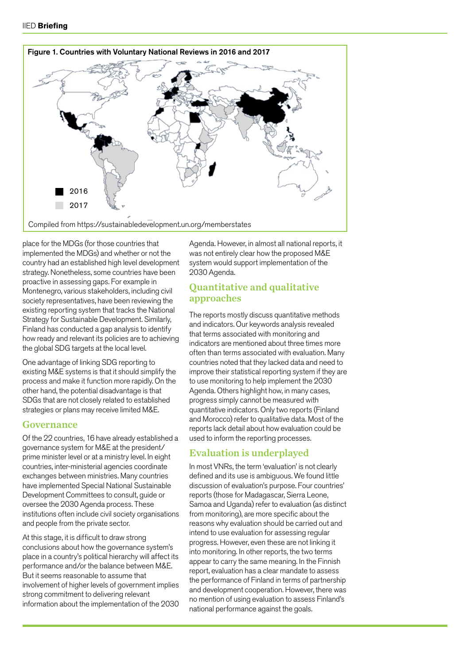

place for the MDGs (for those countries that implemented the MDGs) and whether or not the country had an established high level development strategy. Nonetheless, some countries have been proactive in assessing gaps. For example in Montenegro, various stakeholders, including civil society representatives, have been reviewing the existing reporting system that tracks the National Strategy for Sustainable Development. Similarly, Finland has conducted a gap analysis to identify how ready and relevant its policies are to achieving the global SDG targets at the local level.

One advantage of linking SDG reporting to existing M&E systems is that it should simplify the process and make it function more rapidly. On the other hand, the potential disadvantage is that SDGs that are not closely related to established strategies or plans may receive limited M&E.

#### Governance

Of the 22 countries, 16 have already established a governance system for M&E at the president/ prime minister level or at a ministry level. In eight countries, inter-ministerial agencies coordinate exchanges between ministries. Many countries have implemented Special National Sustainable Development Committees to consult, guide or oversee the 2030 Agenda process. These institutions often include civil society organisations and people from the private sector.

At this stage, it is difficult to draw strong conclusions about how the governance system's place in a country's political hierarchy will affect its performance and/or the balance between M&E. But it seems reasonable to assume that involvement of higher levels of government implies strong commitment to delivering relevant information about the implementation of the 2030 Agenda. However, in almost all national reports, it was not entirely clear how the proposed M&E system would support implementation of the 2030 Agenda.

## Quantitative and qualitative approaches

The reports mostly discuss quantitative methods and indicators. Our keywords analysis revealed that terms associated with monitoring and indicators are mentioned about three times more often than terms associated with evaluation. Many countries noted that they lacked data and need to improve their statistical reporting system if they are to use monitoring to help implement the 2030 Agenda. Others highlight how, in many cases, progress simply cannot be measured with quantitative indicators. Only two reports (Finland and Morocco) refer to qualitative data. Most of the reports lack detail about how evaluation could be used to inform the reporting processes.

### Evaluation is underplayed

In most VNRs, the term 'evaluation' is not clearly defined and its use is ambiguous. We found little discussion of evaluation's purpose. Four countries' reports (those for Madagascar, Sierra Leone, Samoa and Uganda) refer to evaluation (as distinct from monitoring), are more specific about the reasons why evaluation should be carried out and intend to use evaluation for assessing regular progress. However, even these are not linking it into monitoring. In other reports, the two terms appear to carry the same meaning. In the Finnish report, evaluation has a clear mandate to assess the performance of Finland in terms of partnership and development cooperation. However, there was no mention of using evaluation to assess Finland's national performance against the goals.